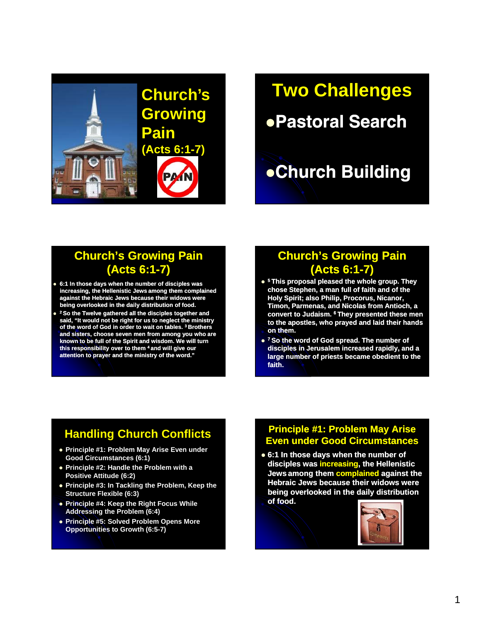

# **Two Challenges**

# Pastoral Search

# Church Building

## **Church's Growing Pain (Acts 6:1-7)**

- **6:1 In those days when the number of disciples was increasing, the Hellenistic Jews Jews among them complained against the Hebraic Jews because their widows were being overlooked in the daily distribution of food.**
- **2** <sup>2</sup> So the Twelve gathered all the disciples together and **said, "It would not be right for us to neglect the ministry of the word of God in order to wait on tables. 3 Brothers and sisters, choose seven men from among you who are known to be full of the Spirit and wisdom. We will turn this responsibility over to them 4 and will give our attention to prayer and the ministry of the word."**

## **Church's Growing Pain (Acts 6:1-7)**

- **<sup>5</sup> This proposal pleased the whole group. They chose Stephen, a man full of faith and of the Holy Spirit; also Philip, Procorus, Nicanor, Timon, Parmenas, and Nicolas from Antioch, a Convert to Judaism. 6 They presented these men to the apostles, who prayed and laid their hands on them.**
- **<sup>7</sup> So the word of God spread. The number of disciples in Jerusalem increased rapidly, and a large number of priests became obedient to the faith.**

## **Handling Church Conflicts**

- **Principle #1: Problem May Arise Even under Good Circumstances (6:1)**
- **Principle #2: Handle the Problem with a Positive Attitude (6:2)**
- **Principle #3: In Tackling the Problem, Keep the Structure Flexible (6:3)**
- **Principle #4: Keep the Right Focus While Addressing the Problem (6:4)**
- **Principle #5: Solved Problem Opens More Opportunities to Growth (6:5-7)**

#### **Principle #1: Problem May Arise Even under Good Circumstances**

 **6:1 In those days when the number of disciples was increasing, the Hellenistic Jews among them complained against the Hebraic Jews because their widows were being overlooked in the daily distribution of food.** 

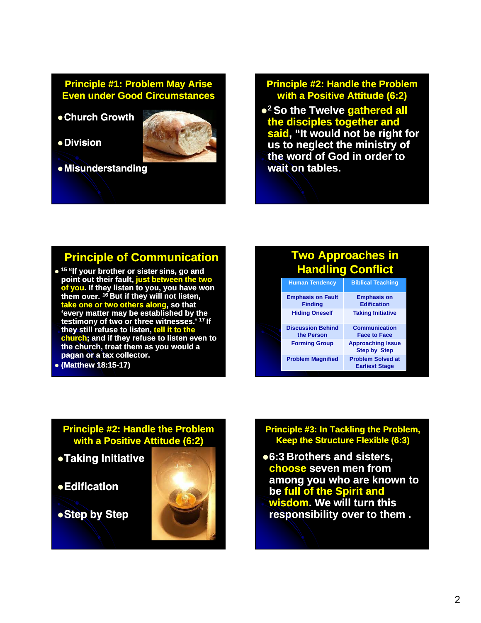#### **Principle #1: Problem May Arise Even under Good Circumstances**

- Church Growth
- Division



Misunderstanding

#### **Principle #2: Handle the Problem with a Positive Attitude (6:2)**

**<sup>2</sup> So the Twelve gathered all the disciples together and said, "It would not be right for us to neglect the ministry of the word of God in order to wait on tables.**

### **Principle of Communication**

- **<sup>15</sup> "If your brother or sister sister sins, go and point out their fault, just between the two of you. If they listen to you, you have won them over. <sup>16</sup> But if they will not listen, take one or two others along, so that ' tt b t bli h d b th 'every ma every matter may be established by the testimony of two or three witnesses.' <sup>17</sup> If they still refuse to listen, tell it to the church; and if they refuse to listen even to the church, treat them as you would a pagan or a tax collector.**
- **(Matthew 18:15 18:15-17)**

#### **Two Approaches in Handling Conflict Human Tendency Biblical Teaching Emphasis on Fault Finding Emphasis on Edification Hiding Oneself Taking Initiative Discussion Behind the Person Communication Face to Face Forming Group Approaching Issue Step by Step Problem Magnified Problem Solved at**

**Earliest Stage**

#### **Principle #2: Handle the Problem with a Positive Attitude (6:2)**

- Taking Initiative
- $\bullet$ Edification
- Step by Step



#### **Principle #3: In Tackling the Problem, Keep the Structure Flexible (6:3)**

**6:3 Brothers and sisters, choose seven men from among you who are known to be full of the Spirit and wisdom. We will turn this responsibility over to them .**